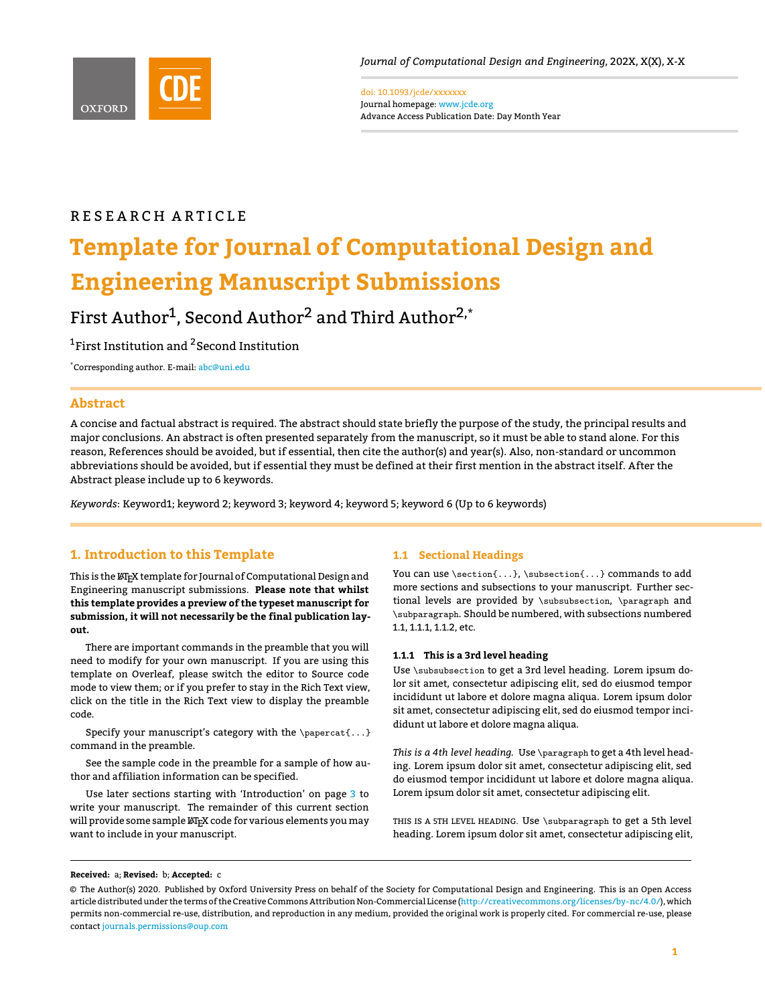<span id="page-0-0"></span>

doi: 10.1093/jcde/xxxxxxx Journal homepage: <www.jcde.org> Advance Access Publication Date: Day Month Year

# R E S E A R C H A R T I C L E

# **Template for Journal of Computational Design and Engineering Manuscript Submissions**

First Author<sup>1</sup>, Second Author<sup>2</sup> and Third Author<sup>2,\*</sup>

<sup>1</sup>First Institution and <sup>2</sup> Second Institution

\*Corresponding author. E-mail: [abc@uni.edu](mailto: abc@uni.edu)

# **Abstract**

A concise and factual abstract is required. The abstract should state briefly the purpose of the study, the principal results and major conclusions. An abstract is often presented separately from the manuscript, so it must be able to stand alone. For this reason, References should be avoided, but if essential, then cite the author(s) and year(s). Also, non-standard or uncommon abbreviations should be avoided, but if essential they must be defined at their first mention in the abstract itself. After the Abstract please include up to 6 keywords.

*Keywords*: Keyword1; keyword 2; keyword 3; keyword 4; keyword 5; keyword 6 (Up to 6 keywords)

# **1. Introduction to this Template**

This is the LAT<sub>E</sub>X template for Journal of Computational Design and Engineering manuscript submissions. **Please note that whilst this template provides a preview of the typeset manuscript for submission, it will not necessarily be the final publication layout.**

There are important commands in the preamble that you will need to modify for your own manuscript. If you are using this template on Overleaf, please switch the editor to Source code mode to view them; or if you prefer to stay in the Rich Text view, click on the title in the Rich Text view to display the preamble code.

Specify your manuscript's category with the \papercat{...} command in the preamble.

See the sample code in the preamble for a sample of how author and affiliation information can be specified.

Use later sections starting with 'Introduction' on page [3](#page-2-0) to write your manuscript. The remainder of this current section will provide some sample  $\mathbb{A}\mathbb{F}_{p}$ X code for various elements you may want to include in your manuscript.

## **1.1 Sectional Headings**

You can use \section{...}, \subsection{...} commands to add more sections and subsections to your manuscript. Further sectional levels are provided by \subsubsection, \paragraph and \subparagraph. Should be numbered, with subsections numbered 1.1, 1.1.1, 1.1.2, etc.

## **1.1.1 This is a 3rd level heading**

Use \subsubsection to get a 3rd level heading. Lorem ipsum dolor sit amet, consectetur adipiscing elit, sed do eiusmod tempor incididunt ut labore et dolore magna aliqua. Lorem ipsum dolor sit amet, consectetur adipiscing elit, sed do eiusmod tempor incididunt ut labore et dolore magna aliqua.

*This is a 4th level heading.* Use \paragraph to get a 4th level heading. Lorem ipsum dolor sit amet, consectetur adipiscing elit, sed do eiusmod tempor incididunt ut labore et dolore magna aliqua. Lorem ipsum dolor sit amet, consectetur adipiscing elit.

THIS IS A 5TH LEVEL HEADING. Use \subparagraph to get a 5th level heading. Lorem ipsum dolor sit amet, consectetur adipiscing elit,

#### **Received:** a; **Revised:** b; **Accepted:** c

<sup>©</sup> The Author(s) 2020. Published by Oxford University Press on behalf of the Society for Computational Design and Engineering. This is an Open Access article distributed under the terms of the Creative Commons Attribution Non-Commercial License [\(http://creativecommons.org/licenses/by-nc/4.0/\)](http://creativecommons.org/licenses/by-nc/4.0/), which permits non-commercial re-use, distribution, and reproduction in any medium, provided the original work is properly cited. For commercial re-use, please contact [journals.permissions@oup.com](mailto:journals.permissions@oup.com)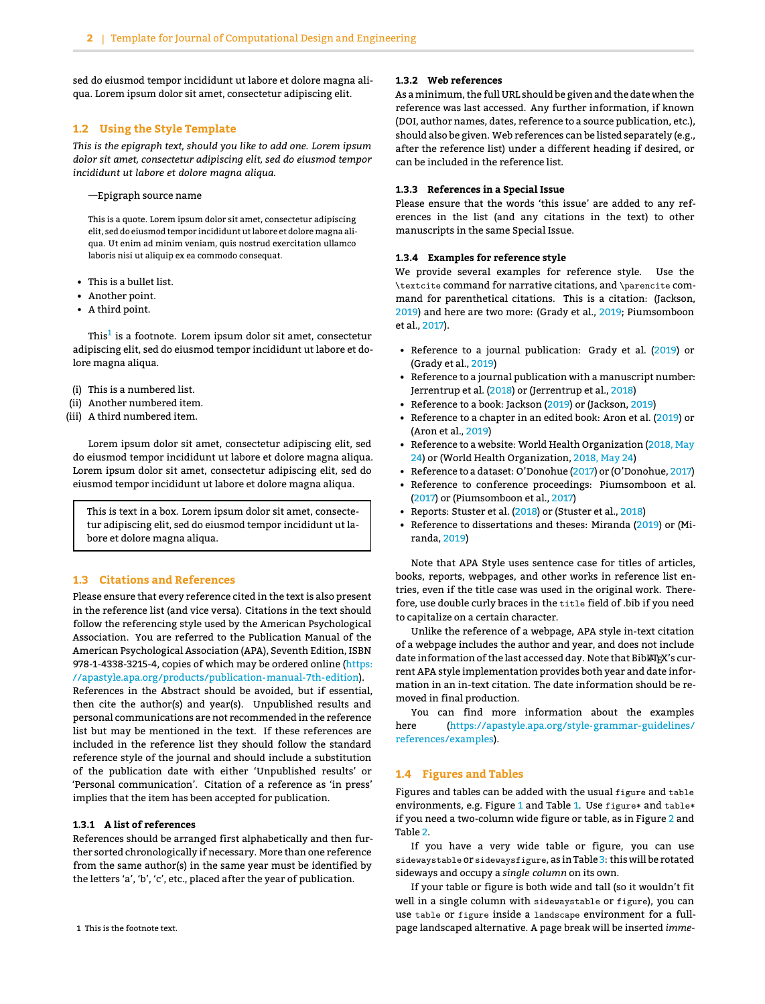sed do eiusmod tempor incididunt ut labore et dolore magna aliqua. Lorem ipsum dolor sit amet, consectetur adipiscing elit.

#### **1.2 Using the Style Template**

*This is the epigraph text, should you like to add one. Lorem ipsum dolor sit amet, consectetur adipiscing elit, sed do eiusmod tempor incididunt ut labore et dolore magna aliqua.*

—Epigraph source name

This is a quote. Lorem ipsum dolor sit amet, consectetur adipiscing elit, sed do eiusmod tempor incididunt ut labore et dolore magna aliqua. Ut enim ad minim veniam, quis nostrud exercitation ullamco laboris nisi ut aliquip ex ea commodo consequat.

- This is a bullet list.
- Another point.
- A third point.

This<sup>[1](#page-0-0)</sup> is a footnote. Lorem ipsum dolor sit amet, consectetur adipiscing elit, sed do eiusmod tempor incididunt ut labore et dolore magna aliqua.

- (i) This is a numbered list.
- (ii) Another numbered item.
- (iii) A third numbered item.

Lorem ipsum dolor sit amet, consectetur adipiscing elit, sed do eiusmod tempor incididunt ut labore et dolore magna aliqua. Lorem ipsum dolor sit amet, consectetur adipiscing elit, sed do eiusmod tempor incididunt ut labore et dolore magna aliqua.

This is text in a box. Lorem ipsum dolor sit amet, consectetur adipiscing elit, sed do eiusmod tempor incididunt ut labore et dolore magna aliqua.

# **1.3 Citations and References**

Please ensure that every reference cited in the text is also present in the reference list (and vice versa). Citations in the text should follow the referencing style used by the American Psychological Association. You are referred to the Publication Manual of the American Psychological Association (APA), Seventh Edition, ISBN 978-1-4338-3215-4, copies of which may be ordered online [\(https:](https://apastyle.apa.org/products/publication-manual-7th-edition) [//apastyle.apa.org/products/publication-manual-7th-edition\)](https://apastyle.apa.org/products/publication-manual-7th-edition).

References in the Abstract should be avoided, but if essential, then cite the author(s) and year(s). Unpublished results and personal communications are not recommended in the reference list but may be mentioned in the text. If these references are included in the reference list they should follow the standard reference style of the journal and should include a substitution of the publication date with either 'Unpublished results' or 'Personal communication'. Citation of a reference as 'in press' implies that the item has been accepted for publication.

#### **1.3.1 A list of references**

References should be arranged first alphabetically and then further sorted chronologically if necessary. More than one reference from the same author(s) in the same year must be identified by the letters 'a', 'b', 'c', etc., placed after the year of publication.

#### 1 This is the footnote text.

## **1.3.2 Web references**

As aminimum, the full URL should be given and the date when the reference was last accessed. Any further information, if known (DOI, author names, dates, reference to a source publication, etc.), should also be given. Web references can be listed separately (e.g., after the reference list) under a different heading if desired, or can be included in the reference list.

#### **1.3.3 References in a Special Issue**

Please ensure that the words 'this issue' are added to any references in the list (and any citations in the text) to other manuscripts in the same Special Issue.

#### **1.3.4 Examples for reference style**

We provide several examples for reference style. Use the \textcite command for narrative citations, and \parencite command for parenthetical citations. This is a citation: (Jackson, [2019\)](#page-3-0) and here are two more: (Grady et al., [2019;](#page-3-1) Piumsomboon et al., [2017\)](#page-3-2).

- Reference to a journal publication: Grady et al. [\(2019\)](#page-3-1) or (Grady et al., [2019\)](#page-3-1)
- Reference to a journal publication with a manuscript number: Jerrentrup et al. [\(2018\)](#page-3-3) or (Jerrentrup et al., [2018\)](#page-3-3)
- Reference to a book: Jackson [\(2019\)](#page-3-0) or (Jackson, [2019\)](#page-3-0)
- Reference to a chapter in an edited book: Aron et al. [\(2019\)](#page-3-4) or (Aron et al., [2019\)](#page-3-4)
- Reference to a website: World Health Organization [\(2018, May](#page-3-5) [24\)](#page-3-5) or (World Health Organization, [2018, May 24\)](#page-3-5)
- Reference to a dataset: O'Donohue [\(2017\)](#page-3-6) or (O'Donohue, [2017\)](#page-3-6)
- Reference to conference proceedings: Piumsomboon et al. [\(2017\)](#page-3-2) or (Piumsomboon et al., [2017\)](#page-3-2)
- Reports: Stuster et al. [\(2018\)](#page-3-7) or (Stuster et al., [2018\)](#page-3-7)
- Reference to dissertations and theses: Miranda [\(2019\)](#page-3-8) or (Miranda, [2019\)](#page-3-8)

Note that APA Style uses sentence case for titles of articles, books, reports, webpages, and other works in reference list entries, even if the title case was used in the original work. Therefore, use double curly braces in the title field of .bib if you need to capitalize on a certain character.

Unlike the reference of a webpage, APA style in-text citation of a webpage includes the author and year, and does not include date information of the last accessed day. Note that BibLTFX's current APA style implementation provides both year and date information in an in-text citation. The date information should be removed in final production.

You can find more information about the examples here [\(https://apastyle.apa.org/style-grammar-guidelines/](https://apastyle.apa.org/style-grammar-guidelines/references/examples) [references/examples\)](https://apastyle.apa.org/style-grammar-guidelines/references/examples).

#### **1.4 Figures and Tables**

Figures and tables can be added with the usual figure and table environments, e.g. Figure [1](#page-2-1) and Table [1.](#page-2-2) Use figure\* and table\* if you need a two-column wide figure or table, as in Figure [2](#page-4-0) and Table [2.](#page-3-9)

If you have a very wide table or figure, you can use sidewaystable or sidewaysfigure, as in Table [3:](#page-5-0) this will be rotated sideways and occupy a *single column* on its own.

If your table or figure is both wide and tall (so it wouldn't fit well in a single column with sidewaystable or figure), you can use table or figure inside a landscape environment for a fullpage landscaped alternative. A page break will be inserted *imme-*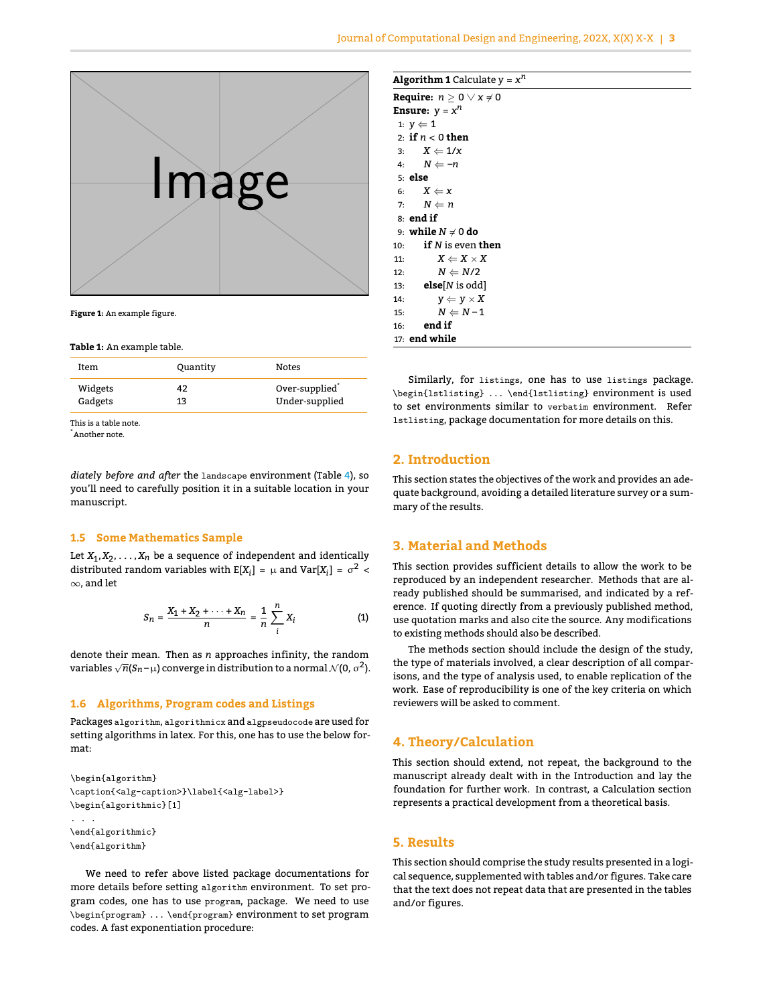<span id="page-2-1"></span>

**Figure 1:** An example figure.

#### <span id="page-2-2"></span>**Table 1:** An example table.

| Over-supplied <sup>®</sup><br>Widgets | Item    | Quantity | Notes |
|---------------------------------------|---------|----------|-------|
| Under-supplied<br>13                  | Gadgets |          |       |

This is a table note.

\*Another note.

*diately before and after* the landscape environment (Table [4\)](#page-6-0), so you'll need to carefully position it in a suitable location in your manuscript.

#### **1.5 Some Mathematics Sample**

Let  $X_1, X_2, \ldots, X_n$  be a sequence of independent and identically distributed random variables with  $E[X_i] = \mu$  and  $Var[X_i] = \sigma^2$ <sup>∞</sup>, and let

$$
S_n = \frac{X_1 + X_2 + \dots + X_n}{n} = \frac{1}{n} \sum_{i=1}^{n} X_i
$$
 (1)

denote their mean. Then as *n* approaches infinity, the random  $variable \sqrt{n}(S_n - \mu)$  converge in distribution to a normal  $\mathcal{N}(0, \sigma^2)$ .

## **1.6 Algorithms, Program codes and Listings**

Packages algorithm, algorithmicx and algpseudocode are used for setting algorithms in latex. For this, one has to use the below format:

```
\begin{algorithm}
\caption{<alg-caption>}\label{<alg-label>}
\begin{algorithmic}[1]
. . .
\end{algorithmic}
\end{algorithm}
```
We need to refer above listed package documentations for more details before setting algorithm environment. To set program codes, one has to use program, package. We need to use \begin{program} ... \end{program} environment to set program codes. A fast exponentiation procedure:

|  | Algorithm 1 Calculate $y = x^n$ |  |
|--|---------------------------------|--|
|  |                                 |  |

| <b>Algorithm 1</b> Calculate $y = x''$ |
|----------------------------------------|
| <b>Require:</b> $n > 0 \vee x \neq 0$  |
| <b>Ensure:</b> $y = x^n$               |
| 1: $y \leftarrow 1$                    |
| 2: if $n < 0$ then                     |
| 3: $X \leftarrow 1/x$                  |
| 4: $N \leftarrow -n$                   |
| 5: else                                |
| 6: $X \leftarrow X$                    |
| 7: $N \leftarrow n$                    |
| $8:$ end if                            |
| 9: <b>while</b> $N \neq 0$ do          |
| if $N$ is even then<br>10:             |
| $X \leftarrow X \times X$<br>11:       |
| $N \leftarrow N/2$<br>12:              |
| 13: <b>else</b> [ <i>N</i> is odd]     |
| 14:<br>$y \leftarrow y \times X$       |
| $N \Leftarrow N-1$<br>15:              |
| end if<br>16:                          |
| $17:$ end while                        |

Similarly, for listings, one has to use listings package. \begin{lstlisting} ... \end{lstlisting} environment is used to set environments similar to verbatim environment. Refer lstlisting, package documentation for more details on this.

# <span id="page-2-0"></span>**2. Introduction**

This section states the objectives of the work and provides an adequate background, avoiding a detailed literature survey or a summary of the results.

## **3. Material and Methods**

This section provides sufficient details to allow the work to be reproduced by an independent researcher. Methods that are already published should be summarised, and indicated by a reference. If quoting directly from a previously published method, use quotation marks and also cite the source. Any modifications to existing methods should also be described.

The methods section should include the design of the study, the type of materials involved, a clear description of all comparisons, and the type of analysis used, to enable replication of the work. Ease of reproducibility is one of the key criteria on which reviewers will be asked to comment.

## **4. Theory/Calculation**

This section should extend, not repeat, the background to the manuscript already dealt with in the Introduction and lay the foundation for further work. In contrast, a Calculation section represents a practical development from a theoretical basis.

# **5. Results**

This section should comprise the study results presented in a logical sequence, supplemented with tables and/or figures. Take care that the text does not repeat data that are presented in the tables and/or figures.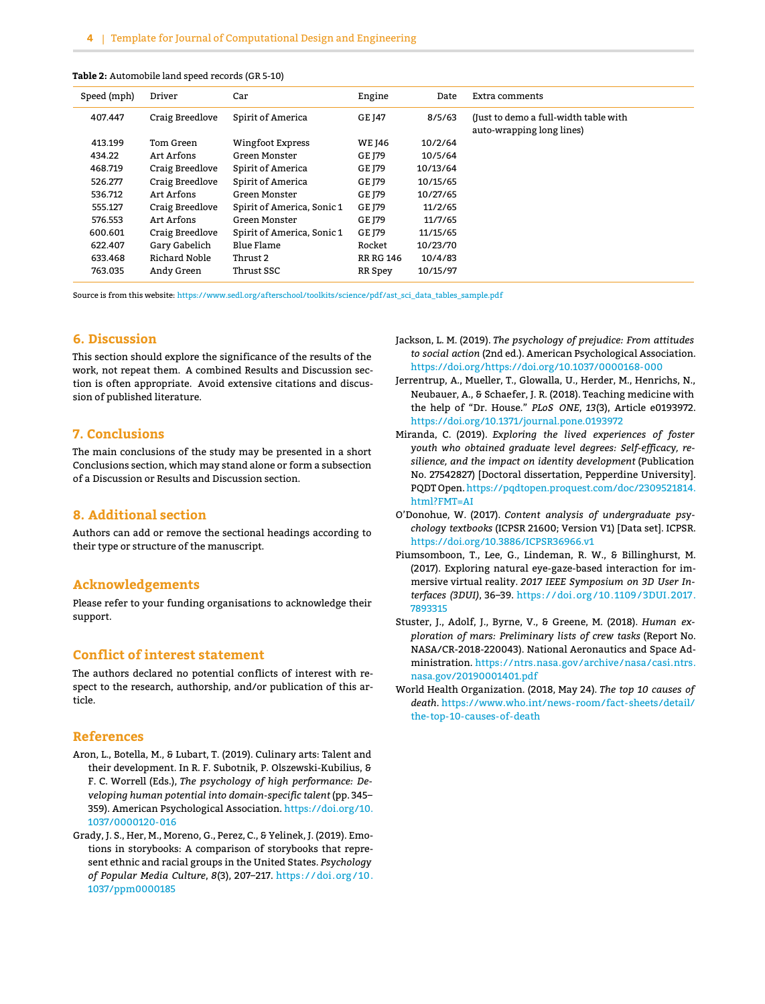<span id="page-3-9"></span>

| Table 2: Automobile land speed records (GR 5-10) |  |  |
|--------------------------------------------------|--|--|
|--------------------------------------------------|--|--|

| Speed (mph) | Driver          | Car                        | Engine           | Date     | Extra comments                                                     |
|-------------|-----------------|----------------------------|------------------|----------|--------------------------------------------------------------------|
| 407.447     | Craig Breedlove | Spirit of America          | <b>GE 147</b>    | 8/5/63   | (Just to demo a full-width table with<br>auto-wrapping long lines) |
| 413.199     | Tom Green       | Wingfoot Express           | <b>WE 146</b>    | 10/2/64  |                                                                    |
| 434.22      | Art Arfons      | Green Monster              | GE 179           | 10/5/64  |                                                                    |
| 468.719     | Craig Breedlove | Spirit of America          | GE 179           | 10/13/64 |                                                                    |
| 526.277     | Craig Breedlove | Spirit of America          | GE 179           | 10/15/65 |                                                                    |
| 536.712     | Art Arfons      | Green Monster              | GE 179           | 10/27/65 |                                                                    |
| 555.127     | Craig Breedlove | Spirit of America, Sonic 1 | <b>GE 179</b>    | 11/2/65  |                                                                    |
| 576.553     | Art Arfons      | Green Monster              | GE 179           | 11/7/65  |                                                                    |
| 600.601     | Craig Breedlove | Spirit of America, Sonic 1 | <b>GE 179</b>    | 11/15/65 |                                                                    |
| 622.407     | Gary Gabelich   | Blue Flame                 | Rocket           | 10/23/70 |                                                                    |
| 633.468     | Richard Noble   | Thrust 2                   | <b>RR RG 146</b> | 10/4/83  |                                                                    |
| 763.035     | Andy Green      | Thrust SSC                 | RR Spey          | 10/15/97 |                                                                    |

Source is from this website: [https://www.sedl.org/afterschool/toolkits/science/pdf/ast\\_sci\\_data\\_tables\\_sample.pdf](https://www.sedl.org/afterschool/toolkits/science/pdf/ast_sci_data_tables_sample.pdf)

# **6. Discussion**

This section should explore the significance of the results of the work, not repeat them. A combined Results and Discussion section is often appropriate. Avoid extensive citations and discussion of published literature.

# **7. Conclusions**

The main conclusions of the study may be presented in a short Conclusions section, which may stand alone or form a subsection of a Discussion or Results and Discussion section.

# **8. Additional section**

Authors can add or remove the sectional headings according to their type or structure of the manuscript.

# **Acknowledgements**

Please refer to your funding organisations to acknowledge their support.

# **Conflict of interest statement**

The authors declared no potential conflicts of interest with respect to the research, authorship, and/or publication of this article.

#### **References**

- <span id="page-3-4"></span>Aron, L., Botella, M., & Lubart, T. (2019). Culinary arts: Talent and their development. In R. F. Subotnik, P. Olszewski-Kubilius, & F. C. Worrell (Eds.), *The psychology of high performance: Developing human potential into domain-specific talent* (pp. 345– 359). American Psychological Association. [https://doi.org/10.](https://doi.org/10.1037/0000120-016) [1037/0000120-016](https://doi.org/10.1037/0000120-016)
- <span id="page-3-1"></span>Grady, J. S., Her, M., Moreno, G., Perez, C., & Yelinek, J. (2019). Emotions in storybooks: A comparison of storybooks that represent ethnic and racial groups in the United States. *Psychology of Popular Media Culture*, *8*(3), 207–217. [https: / /doi.org / 10.](https://doi.org/10.1037/ppm0000185) [1037/ppm0000185](https://doi.org/10.1037/ppm0000185)
- <span id="page-3-0"></span>Jackson, L. M. (2019). *The psychology of prejudice: From attitudes to social action* (2nd ed.). American Psychological Association. <https://doi.org/https://doi.org/10.1037/0000168-000>
- <span id="page-3-3"></span>Jerrentrup, A., Mueller, T., Glowalla, U., Herder, M., Henrichs, N., Neubauer, A., & Schaefer, J. R. (2018). Teaching medicine with the help of "Dr. House." *PLoS ONE*, *13*(3), Article e0193972. <https://doi.org/10.1371/journal.pone.0193972>
- <span id="page-3-8"></span>Miranda, C. (2019). *Exploring the lived experiences of foster youth who obtained graduate level degrees: Self-efficacy, resilience, and the impact on identity development* (Publication No. 27542827) [Doctoral dissertation, Pepperdine University]. PQDT Open.[https://pqdtopen.proquest.com/doc/2309521814.](https://pqdtopen.proquest.com/doc/2309521814.html?FMT=AI) [html?FMT=AI](https://pqdtopen.proquest.com/doc/2309521814.html?FMT=AI)
- <span id="page-3-6"></span>O'Donohue, W. (2017). *Content analysis of undergraduate psychology textbooks* (ICPSR 21600; Version V1) [Data set]. ICPSR. <https://doi.org/10.3886/ICPSR36966.v1>
- <span id="page-3-2"></span>Piumsomboon, T., Lee, G., Lindeman, R. W., & Billinghurst, M. (2017). Exploring natural eye-gaze-based interaction for immersive virtual reality. *2017 IEEE Symposium on 3D User Interfaces (3DUI)*, 36–39. [https: / /doi.org / 10. 1109 /3DUI.2017.](https://doi.org/10.1109/3DUI.2017.7893315) [7893315](https://doi.org/10.1109/3DUI.2017.7893315)
- <span id="page-3-7"></span>Stuster, J., Adolf, J., Byrne, V., & Greene, M. (2018). *Human exploration of mars: Preliminary lists of crew tasks* (Report No. NASA/CR-2018-220043). National Aeronautics and Space Administration. [https://ntrs.nasa.gov/archive/nasa/casi.ntrs.](https://ntrs.nasa.gov/archive/nasa/casi.ntrs.nasa.gov/20190001401.pdf) [nasa.gov/20190001401.pdf](https://ntrs.nasa.gov/archive/nasa/casi.ntrs.nasa.gov/20190001401.pdf)
- <span id="page-3-5"></span>World Health Organization. (2018, May 24). *The top 10 causes of death*. [https://www.who.int/news-room/fact-sheets/detail/](https://www.who.int/news-room/fact-sheets/detail/the-top-10-causes-of-death) [the-top-10-causes-of-death](https://www.who.int/news-room/fact-sheets/detail/the-top-10-causes-of-death)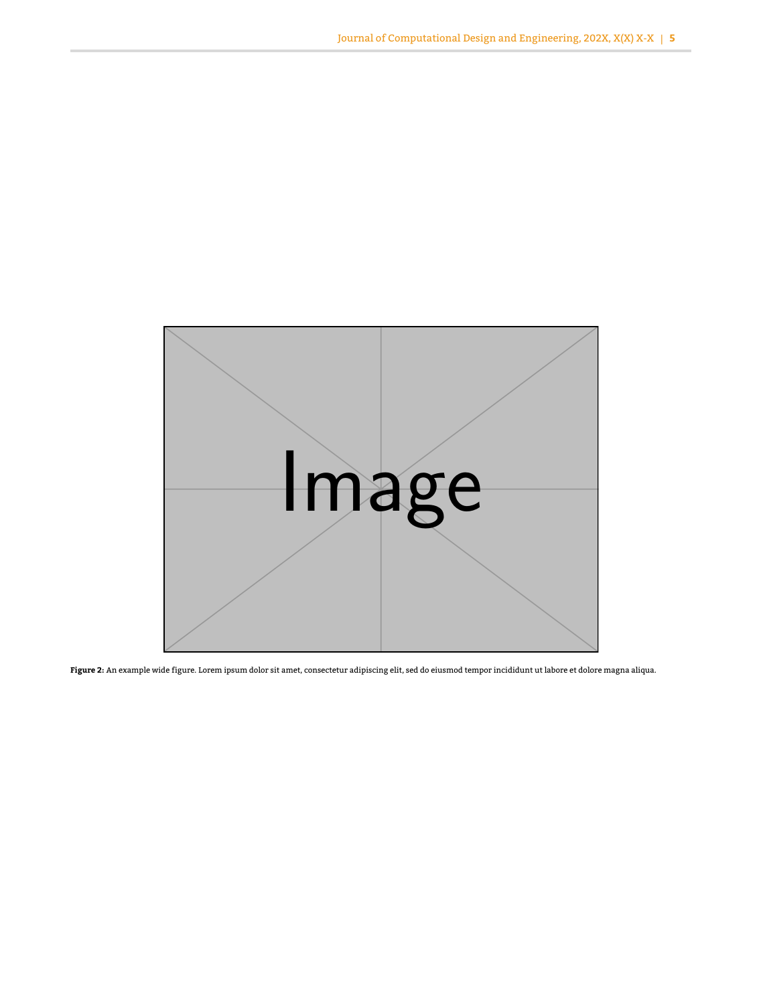<span id="page-4-0"></span>

**Figure 2:** An example wide figure. Lorem ipsum dolor sit amet, consectetur adipiscing elit, sed do eiusmod tempor incididunt ut labore et dolore magna aliqua.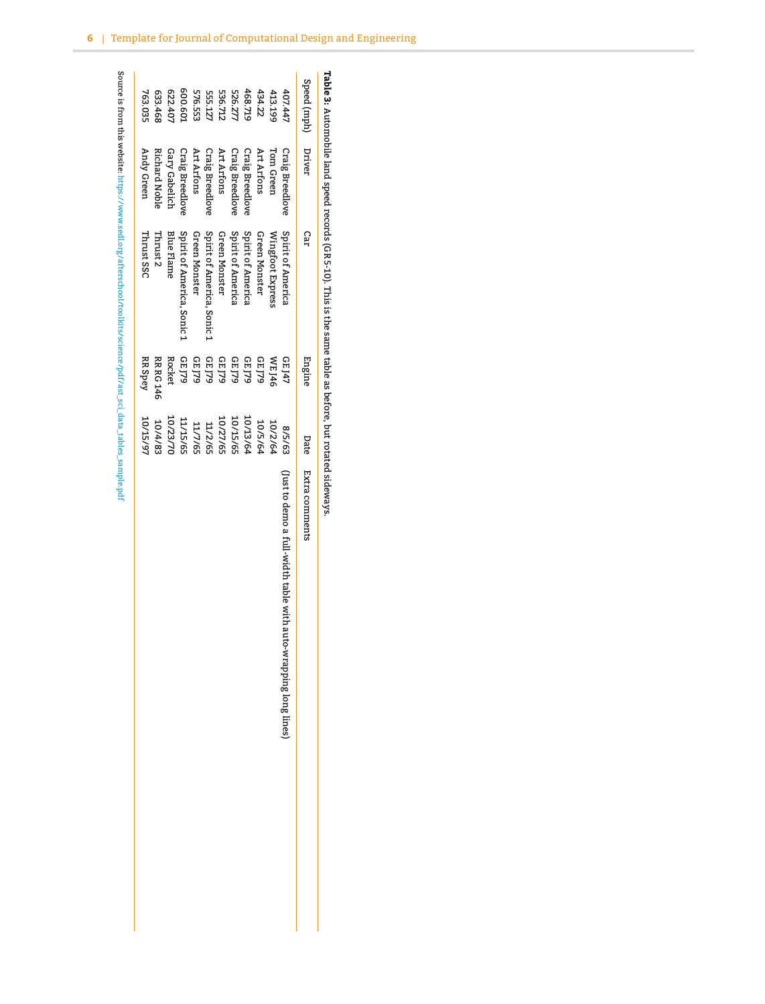<span id="page-5-0"></span>

| Speed (mph) | Driver                 | Car                        | Engine           | Date     | Extra comments                                                  |
|-------------|------------------------|----------------------------|------------------|----------|-----------------------------------------------------------------|
| 407.447     | Craig Breedlove        | Spirit of America          | GE J47           | 8/5/63   | (Just to demo a full-width table with auto-wrapping long lines) |
| 413.199     | Tom Green              | Wingfoot Express           | <b>WEJ46</b>     | 10/2/64  |                                                                 |
| 434.22      | Art Arfons             | Green Monster              | GE J79           | 10/5/64  |                                                                 |
| 468.719     | <b>Craig Breedlove</b> | Spirit of America          | GL 779           | 10/13/64 |                                                                 |
| 526.27      | Craig Breedlove        | Spirit of America          | GE J79           | 10/15/65 |                                                                 |
| 536.712     | Art Arfons             | Green Monster              | GE J79           | 10/27/65 |                                                                 |
| 555.127     | <b>Craig Breedlove</b> | Spirit of America, Sonic 1 | GE J79           | 11/2/65  |                                                                 |
| 576.553     | Art Arfons             | Green Monster              | GE J79           | 11/7/65  |                                                                 |
| 600.60:     | <b>Craig Breedlove</b> | Spirit of America, Sonic 1 | GE J79           | 11/15/65 |                                                                 |
| 622.40      | Gary Gabelich          | <b>Blue Flame</b>          | Rocket           | 10/23/70 |                                                                 |
| 633.468     | <b>Richard Noble</b>   | Thrust 2                   | <b>RR RG 146</b> | 10/4/83  |                                                                 |
| 763.035     | Andy Green             | Thrust SSC                 | RR Spey          | 10/15/97 |                                                                 |